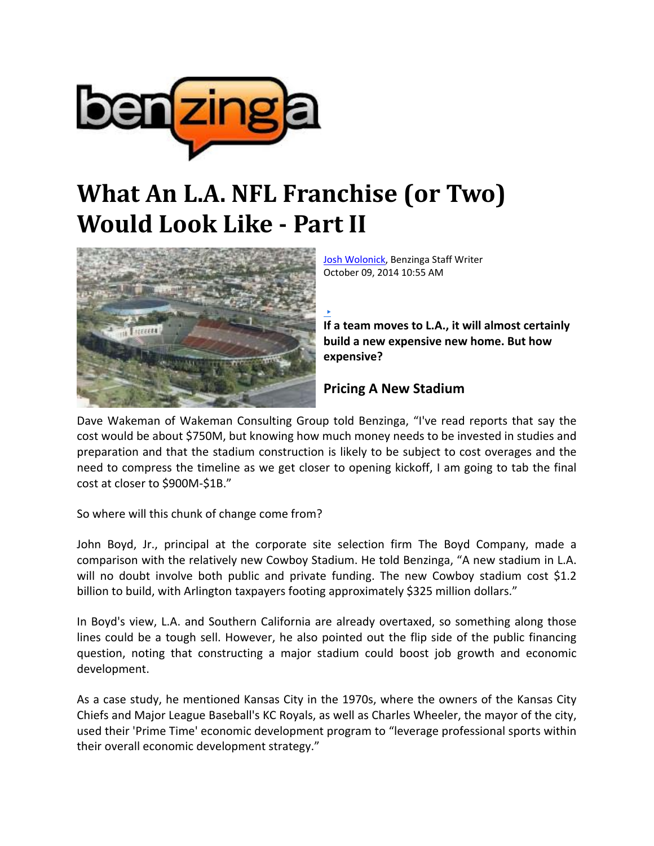

## **What An L.A. NFL Franchise (or Two) Would Look Like Part II**



Josh Wolonick, Benzinga Staff Writer October 09, 2014 10:55 AM

**If a team moves to L.A., it will almost certainly build a new expensive new home. But how expensive?**

## **Pricing A New Stadium**

Dave Wakeman of Wakeman Consulting Group told Benzinga, "I've read reports that say the cost would be about \$750M, but knowing how much money needs to be invested in studies and preparation and that the stadium construction is likely to be subject to cost overages and the need to compress the timeline as we get closer to opening kickoff, I am going to tab the final cost at closer to \$900M‐\$1B."

▶

So where will this chunk of change come from?

John Boyd, Jr., principal at the corporate site selection firm The Boyd Company, made a comparison with the relatively new Cowboy Stadium. He told Benzinga, "A new stadium in L.A. will no doubt involve both public and private funding. The new Cowboy stadium cost \$1.2 billion to build, with Arlington taxpayers footing approximately \$325 million dollars."

In Boyd's view, L.A. and Southern California are already overtaxed, so something along those lines could be a tough sell. However, he also pointed out the flip side of the public financing question, noting that constructing a major stadium could boost job growth and economic development.

As a case study, he mentioned Kansas City in the 1970s, where the owners of the Kansas City Chiefs and Major League Baseball's KC Royals, as well as Charles Wheeler, the mayor of the city, used their 'Prime Time' economic development program to "leverage professional sports within their overall economic development strategy."